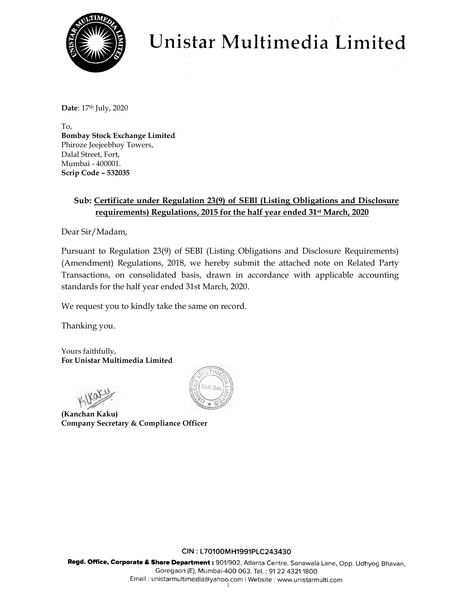

# Unistar Multimedia Limited

**Date**: 17<sup>th</sup> July, 2020

To, **Bombay Stock Exchange Limited**  Phiroze Jeejeebhoy Towers, Dalal Street, Fort, Mumbai - 400001. **Scrip Code – 532035** 

## **Sub: Certificate under Regulation 23(9) of SEBl (Listing Obligations and Disclosure requirements) Regulations, 2015 for the half year ended 31st March, 2020**

Dear Sir/Madam,

Pursuant to Regulation 23(9) of SEBI (Listing Obligations and Disclosure Requirements) (Amendment) Regulations, 2018, we hereby submit the attached note on Related Party Transactions, on consolidated basis, drawn in accordance with applicable accounting standards for the half year ended 31st March, 2020.

We request you to kindly take the same on record.

Thanking you.

Yours faithfully, **For Unistar Multimedia Limited** 

**(Kanchan Kaku) Company Secretary & Compliance Officer** 



### CIN: L70100MH1991PLC243430

Regd. Office, Corporate & Share Department : 901/902, Atlanta Centre, Sonawala Lane, Opp. Udhyog Bhavan, Goregaon (E), Mumbai-400 063. Tel.: 91 22 4321 1800 Email: unistarmultimedia@yahoo.com | Website: www.unistarmulti.com